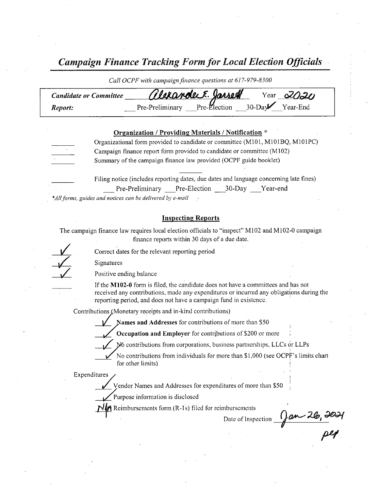Campaign Finance Tracking Form for Local Election Officials

| Call OCPF with campaign finance questions at 01/-9/9-8300 |                                                                                        |  |  |  |  |
|-----------------------------------------------------------|----------------------------------------------------------------------------------------|--|--|--|--|
| <b>Candidate or Committee</b>                             | Clerande F. Jasset Year 2020                                                           |  |  |  |  |
| Report:                                                   |                                                                                        |  |  |  |  |
|                                                           |                                                                                        |  |  |  |  |
|                                                           | Organization / Providing Materials / Notification *                                    |  |  |  |  |
|                                                           | Organizational form provided to candidate or committee (M101, M101BQ, M101PC)          |  |  |  |  |
|                                                           | Campaign finance report form provided to candidate or committee (M102)                 |  |  |  |  |
|                                                           | Summary of the campaign finance law provided (OCPF guide booklet)                      |  |  |  |  |
|                                                           |                                                                                        |  |  |  |  |
|                                                           | Filing notice (includes reporting dates, due dates and language concerning late fines) |  |  |  |  |

Pre-Preliminary Pre-Election 30-Day Year-end \*All forms, guides and notices can be delivered by e-mail

#### Inspecting Reports

The campaign finance law requires local election officials to "inspect" M102 and M102-0 campaign finance reports within 30 days of <sup>a</sup> due date.

Correct dates for the relevant reporting period

Signatures

Positive ending balance

If the M102-0 form is filed, the candidate does not have a committees and has not received any contributions, made any expenditures or incurred any obligations during the reporting period, and does not have a campaign fund in existence.

Contributions (Monetary receipts and in-kind contributions)

Names and Addresses for contributions of more than \$50

Occupation and Employer for contributions of \$200 or more

No contributions from corporations, business partnerships, LLCs or LLPs

No contributions from individuals for more than \$1,000 (see OCPF's limits chart for other limits)

Expenditures

Vendor Names and Addresses for expenditures of more than\$ 50

Purpose information is disclosed

 $\hat{A}$  Reimbursements form (R-1s) filed for reimbursements

Date of Inspection  $\frac{0}{\sqrt{200}}$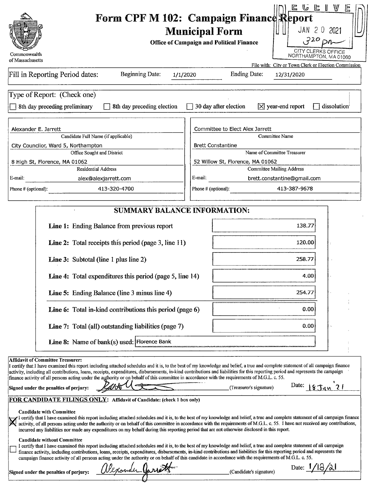| Commonwealth<br>of Massachusetts<br>Fill in Reporting Period dates:<br><b>Beginning Date:</b>                                                                                                                                                                                                                                                                                                                                                                                                                                                                                                                                                                                                                                                                                                                                                                                                                                                                                                                                                                                                                                                                                                                                                                                                                                                                                              | L G G I V<br>Form CPF M 102: Campaign Finance Report<br>JAN 20 2021<br><b>Municipal Form</b><br>$320$ pn<br><b>Office of Campaign and Political Finance</b><br><b>CITY CLERKS OFFICE</b><br>NORTHAMPTON, MA 01060<br>File with: City or Town Clerk or Election Commission<br><b>Ending Date:</b>                                                                                                                 |
|--------------------------------------------------------------------------------------------------------------------------------------------------------------------------------------------------------------------------------------------------------------------------------------------------------------------------------------------------------------------------------------------------------------------------------------------------------------------------------------------------------------------------------------------------------------------------------------------------------------------------------------------------------------------------------------------------------------------------------------------------------------------------------------------------------------------------------------------------------------------------------------------------------------------------------------------------------------------------------------------------------------------------------------------------------------------------------------------------------------------------------------------------------------------------------------------------------------------------------------------------------------------------------------------------------------------------------------------------------------------------------------------|------------------------------------------------------------------------------------------------------------------------------------------------------------------------------------------------------------------------------------------------------------------------------------------------------------------------------------------------------------------------------------------------------------------|
| 1/1/2020                                                                                                                                                                                                                                                                                                                                                                                                                                                                                                                                                                                                                                                                                                                                                                                                                                                                                                                                                                                                                                                                                                                                                                                                                                                                                                                                                                                   | 12/31/2020                                                                                                                                                                                                                                                                                                                                                                                                       |
| Type of Report: (Check one)                                                                                                                                                                                                                                                                                                                                                                                                                                                                                                                                                                                                                                                                                                                                                                                                                                                                                                                                                                                                                                                                                                                                                                                                                                                                                                                                                                | $\Box$ 30 day after election                                                                                                                                                                                                                                                                                                                                                                                     |
| 8th day preceding preliminary                                                                                                                                                                                                                                                                                                                                                                                                                                                                                                                                                                                                                                                                                                                                                                                                                                                                                                                                                                                                                                                                                                                                                                                                                                                                                                                                                              | $\boxed{\times}$ year-end report                                                                                                                                                                                                                                                                                                                                                                                 |
| 8th day preceding election                                                                                                                                                                                                                                                                                                                                                                                                                                                                                                                                                                                                                                                                                                                                                                                                                                                                                                                                                                                                                                                                                                                                                                                                                                                                                                                                                                 | dissolution                                                                                                                                                                                                                                                                                                                                                                                                      |
| Alexander E. Jarrett                                                                                                                                                                                                                                                                                                                                                                                                                                                                                                                                                                                                                                                                                                                                                                                                                                                                                                                                                                                                                                                                                                                                                                                                                                                                                                                                                                       | Committee to Elect Alex Jarrett                                                                                                                                                                                                                                                                                                                                                                                  |
| Candidate Full Name (if applicable)                                                                                                                                                                                                                                                                                                                                                                                                                                                                                                                                                                                                                                                                                                                                                                                                                                                                                                                                                                                                                                                                                                                                                                                                                                                                                                                                                        | Committee Name                                                                                                                                                                                                                                                                                                                                                                                                   |
| City Councilor, Ward 5, Northampton                                                                                                                                                                                                                                                                                                                                                                                                                                                                                                                                                                                                                                                                                                                                                                                                                                                                                                                                                                                                                                                                                                                                                                                                                                                                                                                                                        | <b>Brett Constantine</b>                                                                                                                                                                                                                                                                                                                                                                                         |
| Office Sought and District                                                                                                                                                                                                                                                                                                                                                                                                                                                                                                                                                                                                                                                                                                                                                                                                                                                                                                                                                                                                                                                                                                                                                                                                                                                                                                                                                                 | Name of Committee Treasurer                                                                                                                                                                                                                                                                                                                                                                                      |
| 8 High St, Florence, MA 01062                                                                                                                                                                                                                                                                                                                                                                                                                                                                                                                                                                                                                                                                                                                                                                                                                                                                                                                                                                                                                                                                                                                                                                                                                                                                                                                                                              | 52 Willow St, Florence, MA 01062                                                                                                                                                                                                                                                                                                                                                                                 |
| <b>Residential Address</b>                                                                                                                                                                                                                                                                                                                                                                                                                                                                                                                                                                                                                                                                                                                                                                                                                                                                                                                                                                                                                                                                                                                                                                                                                                                                                                                                                                 | <b>Committee Mailing Address</b>                                                                                                                                                                                                                                                                                                                                                                                 |
| E-mail:                                                                                                                                                                                                                                                                                                                                                                                                                                                                                                                                                                                                                                                                                                                                                                                                                                                                                                                                                                                                                                                                                                                                                                                                                                                                                                                                                                                    | E-mail:                                                                                                                                                                                                                                                                                                                                                                                                          |
| alex@alexjarrett.com                                                                                                                                                                                                                                                                                                                                                                                                                                                                                                                                                                                                                                                                                                                                                                                                                                                                                                                                                                                                                                                                                                                                                                                                                                                                                                                                                                       | brett.constantine@gmail.com                                                                                                                                                                                                                                                                                                                                                                                      |
| 413-320-4700                                                                                                                                                                                                                                                                                                                                                                                                                                                                                                                                                                                                                                                                                                                                                                                                                                                                                                                                                                                                                                                                                                                                                                                                                                                                                                                                                                               | 413-387-9678                                                                                                                                                                                                                                                                                                                                                                                                     |
| Phone # (optional):                                                                                                                                                                                                                                                                                                                                                                                                                                                                                                                                                                                                                                                                                                                                                                                                                                                                                                                                                                                                                                                                                                                                                                                                                                                                                                                                                                        | Phone # (optional):                                                                                                                                                                                                                                                                                                                                                                                              |
| <b>SUMMARY BALANCE INFORMATION:</b><br><b>Line 1:</b> Ending Balance from previous report<br>Line 2: Total receipts this period (page 3, line 11)<br><b>Line 3:</b> Subtotal (line 1 plus line 2)<br><b>Line 4:</b> Total expenditures this period (page 5, line 14)<br><b>Line 5:</b> Ending Balance (line 3 minus line 4)<br><b>Line 6:</b> Total in-kind contributions this period (page 6)<br><b>Line 7:</b> Total (all) outstanding liabilities (page 7)<br>Line 8: Name of bank(s) used: Florence Bank<br><b>Affidavit of Committee Treasurer:</b>                                                                                                                                                                                                                                                                                                                                                                                                                                                                                                                                                                                                                                                                                                                                                                                                                                   | 138.77<br>120.00<br>258.77<br>4.00<br>254.77<br>0.00<br>0.00                                                                                                                                                                                                                                                                                                                                                     |
| I certify that I have examined this report including attached schedules and it is, to the best of my knowledge and belief, a true and complete statement of all campaign finance<br>activity, including all contributions, loans, receipts, expenditures, disbursements, in-kind contributions and liabilities for this reporting period and represents the campaign<br>finance activity of all persons acting under the authority or on behalf of this committee in accordance with the requirements of M.G.L. c. 55.<br>Signed under the penalties of perjury:<br>FOR CANDIDATE FILINGS ONLY: Affidavit of Candidate: (check 1 box only)<br><b>Candidate with Committee</b><br>incurred any liabilities nor made any expenditures on my behalf during this reporting period that are not otherwise disclosed in this report.<br><b>Candidate without Committee</b><br>I certify that I have examined this report including attached schedules and it is, to the best of my knowledge and belief, a true and complete statement of all campaign<br>finance activity, including contributions, loans, receipts, expenditures, disbursements, in-kind contributions and liabilities for this reporting period and represents the<br>campaign finance activity of all persons acting under the authority or on behalf of this candidate in accordance with the requirements of M.G.L. c. 55. | Date: $18Jg421$<br>(Treasurer's signature)<br>I certify that I have examined this report including attached schedules and it is, to the best of my knowledge and belief, a true and complete statement of all campaign finance<br>activity, of all persons acting under the authority or on behalf of this committee in accordance with the requirements of M.G.L. c. 55. I have not received any contributions, |
| alexander Jarrett                                                                                                                                                                                                                                                                                                                                                                                                                                                                                                                                                                                                                                                                                                                                                                                                                                                                                                                                                                                                                                                                                                                                                                                                                                                                                                                                                                          | Date: $1/18/21$                                                                                                                                                                                                                                                                                                                                                                                                  |
| Signed under the penalties of perjury:                                                                                                                                                                                                                                                                                                                                                                                                                                                                                                                                                                                                                                                                                                                                                                                                                                                                                                                                                                                                                                                                                                                                                                                                                                                                                                                                                     | (Candidate's signature)                                                                                                                                                                                                                                                                                                                                                                                          |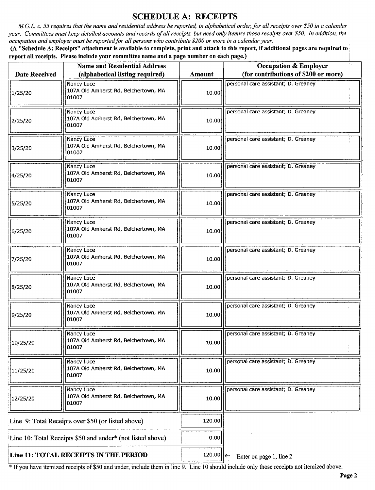### SCHEDULE A: RECEIPTS

M.G.L. c. 55 requires that the name and residential address be reported, in alphabetical order, for all receipts over \$50 in a calendar year. Committees must keep detailed accounts and records of all receipts, but need only itemize those receipts over \$50. In addition, the occupation and employer must be reported for all persons who contribute \$200 or more in a calendar year.

A" Schedule A: Receipts" attachment is available to complete, print and attach to this report, if additional pages are required to report all receipts. Please include your committee name and a page number on each page.)

| <b>Name and Residential Address</b>                        |                                                             | <b>Occupation &amp; Employer</b> |                                      |
|------------------------------------------------------------|-------------------------------------------------------------|----------------------------------|--------------------------------------|
| <b>Date Received</b>                                       | (alphabetical listing required)                             | <b>Amount</b>                    | (for contributions of \$200 or more) |
| 1/25/20                                                    | Nancy Luce<br>107A Old Amherst Rd, Belchertown, MA<br>01007 | 10.00                            | personal care assistant; D. Greaney  |
| 2/25/20                                                    | Nancy Luce<br>107A Old Amherst Rd, Belchertown, MA<br>01007 | 10.00                            | personal care assistant; D. Greaney  |
| 3/25/20                                                    | Nancy Luce<br>107A Old Amherst Rd, Belchertown, MA<br>01007 | 10.00                            | personal care assistant; D. Greaney  |
| 4/25/20                                                    | Nancy Luce<br>107A Old Amherst Rd, Belchertown, MA<br>01007 | 10.00                            | personal care assistant; D. Greaney  |
| 5/25/20                                                    | Nancy Luce<br>107A Old Amherst Rd, Belchertown, MA<br>01007 | 10.00                            | personal care assistant; D. Greaney  |
| 6/25/20                                                    | Nancy Luce<br>107A Old Amherst Rd, Belchertown, MA<br>01007 | 10.00                            | personal care assistant; D. Greaney  |
| 7/25/20                                                    | Nancy Luce<br>107A Old Amherst Rd, Belchertown, MA<br>01007 | 10.00                            | personal care assistant; D. Greaney  |
| 8/25/20                                                    | Nancy Luce<br>107A Old Amherst Rd, Belchertown, MA<br>01007 | 10.00                            | personal care assistant; D. Greaney  |
| 9/25/20                                                    | Nancy Luce<br>107A Old Amherst Rd, Belchertown, MA<br>01007 | 10.00                            | personal care assistant; D. Greaney  |
| 10/25/20                                                   | Nancy Luce<br>107A Old Amherst Rd, Belchertown, MA<br>01007 | 10.00                            | personal care assistant; D. Greaney  |
| 11/25/20                                                   | Nancy Luce<br>107A Old Amherst Rd, Belchertown, MA<br>01007 | 10.00                            | personal care assistant; D. Greaney  |
| 12/25/20                                                   | Nancy Luce<br>107A Old Amherst Rd, Belchertown, MA<br>01007 | 10.00                            | personal care assistant; D. Greaney  |
| Line 9: Total Receipts over \$50 (or listed above)         |                                                             | 120.00                           |                                      |
| Line 10: Total Receipts \$50 and under* (not listed above) |                                                             | 0.00                             |                                      |
| Line 11: TOTAL RECEIPTS IN THE PERIOD                      |                                                             | 120.00 ←                         | Enter on page 1, line 2              |

<sup>\*</sup> If you have itemized receipts of \$50 and under, include them in line 9. Line 10 should include only those receipts not itemized above.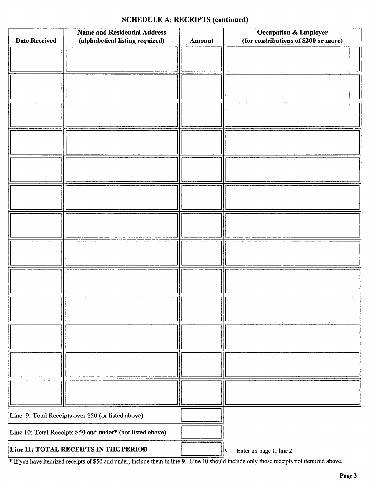# SCHEDULE A: RECEIPTS (continued)

| <b>Name and Residential Address</b>                        |                                 |        | <b>Occupation &amp; Employer</b>        |
|------------------------------------------------------------|---------------------------------|--------|-----------------------------------------|
| <b>Date Received</b>                                       | (alphabetical listing required) | Amount | (for contributions of \$200 or more)    |
|                                                            |                                 |        |                                         |
|                                                            |                                 |        |                                         |
|                                                            |                                 |        |                                         |
|                                                            |                                 |        |                                         |
|                                                            |                                 |        |                                         |
|                                                            |                                 |        |                                         |
|                                                            |                                 |        |                                         |
|                                                            |                                 |        |                                         |
|                                                            |                                 |        |                                         |
|                                                            |                                 |        |                                         |
|                                                            |                                 |        |                                         |
|                                                            |                                 |        |                                         |
|                                                            |                                 |        |                                         |
|                                                            |                                 |        |                                         |
|                                                            |                                 |        |                                         |
|                                                            |                                 |        |                                         |
|                                                            |                                 |        |                                         |
|                                                            |                                 |        |                                         |
|                                                            |                                 |        |                                         |
|                                                            |                                 |        |                                         |
|                                                            |                                 |        |                                         |
|                                                            |                                 |        |                                         |
|                                                            |                                 |        |                                         |
|                                                            |                                 |        |                                         |
|                                                            |                                 |        |                                         |
|                                                            |                                 |        |                                         |
|                                                            |                                 |        |                                         |
|                                                            |                                 |        |                                         |
|                                                            |                                 |        |                                         |
|                                                            |                                 |        |                                         |
|                                                            |                                 |        |                                         |
|                                                            |                                 |        |                                         |
|                                                            |                                 |        |                                         |
|                                                            |                                 |        |                                         |
|                                                            |                                 |        |                                         |
|                                                            |                                 |        |                                         |
|                                                            |                                 |        |                                         |
|                                                            |                                 |        |                                         |
|                                                            |                                 |        |                                         |
|                                                            |                                 |        |                                         |
| Line 9: Total Receipts over \$50 (or listed above)         |                                 |        |                                         |
| Line 10: Total Receipts \$50 and under* (not listed above) |                                 |        |                                         |
| Line 11: TOTAL RECEIPTS IN THE PERIOD                      |                                 |        | Enter on page 1, line 2<br>$\leftarrow$ |

If you have itemized receipts of\$ <sup>50</sup> and under, include them in line 9. Line <sup>10</sup> should include only those receipts not itemized above.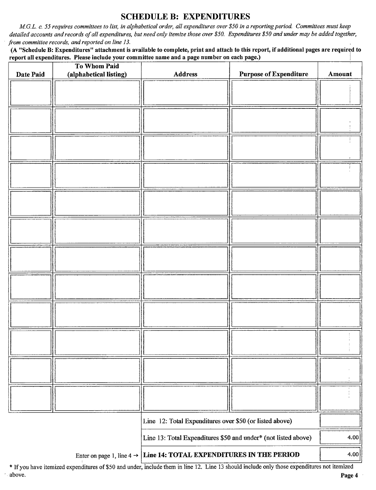### SCHEDULE B: EXPENDITURES

M.G.L. c. 55 requires committees to list, in alphabetical order, all expenditures over\$ 50 in <sup>a</sup> reporting period. Committees must keep detailed accounts and records of all expenditures, but need only itemize those over \$50. Expenditures \$50 and under may be added together, from committee records, and reported on line 13.

A " Schedule B: Expenditures" attachment is available to complete, print and attach to this report, if additional pages are required to report all expenditures. Please include your committee name and a page number on each page.)

| Date Paid                                                                       | To Whom Paid<br>(alphabetical listing) | <b>Address</b>                                                 | <b>Purpose of Expenditure</b> | Amount |
|---------------------------------------------------------------------------------|----------------------------------------|----------------------------------------------------------------|-------------------------------|--------|
|                                                                                 |                                        |                                                                |                               |        |
|                                                                                 |                                        |                                                                |                               |        |
|                                                                                 |                                        |                                                                |                               |        |
|                                                                                 |                                        |                                                                |                               |        |
|                                                                                 |                                        |                                                                |                               |        |
|                                                                                 |                                        |                                                                |                               |        |
|                                                                                 |                                        |                                                                |                               |        |
|                                                                                 |                                        |                                                                |                               |        |
|                                                                                 |                                        |                                                                |                               |        |
|                                                                                 |                                        |                                                                |                               |        |
|                                                                                 |                                        |                                                                |                               |        |
|                                                                                 |                                        |                                                                |                               |        |
|                                                                                 |                                        |                                                                |                               |        |
|                                                                                 |                                        |                                                                |                               |        |
|                                                                                 |                                        |                                                                |                               |        |
|                                                                                 |                                        |                                                                |                               |        |
|                                                                                 |                                        |                                                                |                               |        |
|                                                                                 |                                        |                                                                |                               |        |
|                                                                                 |                                        |                                                                |                               |        |
|                                                                                 |                                        |                                                                |                               |        |
|                                                                                 |                                        |                                                                |                               |        |
|                                                                                 |                                        |                                                                |                               |        |
|                                                                                 |                                        |                                                                |                               |        |
|                                                                                 |                                        |                                                                |                               |        |
|                                                                                 |                                        |                                                                |                               |        |
|                                                                                 |                                        |                                                                |                               |        |
|                                                                                 |                                        |                                                                |                               |        |
|                                                                                 |                                        | Line 12: Total Expenditures over \$50 (or listed above)        |                               |        |
|                                                                                 |                                        | Line 13: Total Expenditures \$50 and under* (not listed above) |                               | 4.00   |
| Enter on page 1, line $4 \rightarrow$ Line 14: TOTAL EXPENDITURES IN THE PERIOD |                                        |                                                                |                               | 4.00   |

Ifyou have itemized expenditures of\$50 and under, include them in line 12. Line <sup>13</sup> should include only those expenditures not itemized above. **Page 4** and the set of the set of the set of the set of the set of the set of the set of the set of the set of the set of the set of the set of the set of the set of the set of the set of the set of the set of the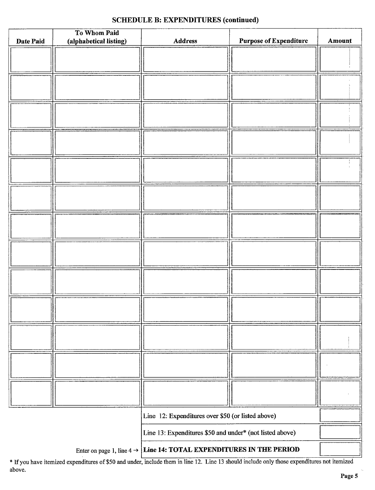### SCHEDULE B: EXPENDITURES (continued)

|                                                                                 | To Whom Paid           |                                                          |                               |        |
|---------------------------------------------------------------------------------|------------------------|----------------------------------------------------------|-------------------------------|--------|
| Date Paid                                                                       | (alphabetical listing) | <b>Address</b>                                           | <b>Purpose of Expenditure</b> | Amount |
|                                                                                 |                        |                                                          |                               |        |
|                                                                                 |                        |                                                          |                               |        |
|                                                                                 |                        |                                                          |                               |        |
|                                                                                 |                        |                                                          |                               |        |
|                                                                                 |                        |                                                          |                               |        |
|                                                                                 |                        |                                                          |                               |        |
|                                                                                 |                        |                                                          |                               |        |
|                                                                                 |                        |                                                          |                               |        |
|                                                                                 |                        |                                                          |                               |        |
|                                                                                 |                        |                                                          |                               |        |
|                                                                                 |                        |                                                          |                               |        |
|                                                                                 |                        |                                                          |                               |        |
|                                                                                 |                        |                                                          |                               |        |
|                                                                                 |                        |                                                          |                               |        |
|                                                                                 |                        |                                                          |                               |        |
|                                                                                 |                        |                                                          |                               |        |
|                                                                                 |                        |                                                          |                               |        |
|                                                                                 |                        |                                                          |                               |        |
|                                                                                 |                        |                                                          |                               |        |
|                                                                                 |                        |                                                          |                               |        |
|                                                                                 |                        |                                                          |                               |        |
|                                                                                 |                        |                                                          |                               |        |
|                                                                                 |                        |                                                          |                               |        |
|                                                                                 |                        |                                                          |                               |        |
|                                                                                 |                        |                                                          |                               |        |
|                                                                                 |                        |                                                          |                               |        |
|                                                                                 |                        |                                                          |                               |        |
|                                                                                 |                        |                                                          |                               |        |
|                                                                                 |                        |                                                          |                               |        |
|                                                                                 |                        |                                                          |                               |        |
|                                                                                 |                        |                                                          |                               |        |
|                                                                                 |                        |                                                          |                               |        |
|                                                                                 |                        |                                                          |                               |        |
|                                                                                 |                        |                                                          |                               |        |
|                                                                                 |                        |                                                          |                               |        |
|                                                                                 |                        |                                                          |                               |        |
|                                                                                 |                        |                                                          |                               |        |
|                                                                                 |                        |                                                          |                               |        |
| Line 12: Expenditures over \$50 (or listed above)                               |                        |                                                          |                               |        |
|                                                                                 |                        | Line 13: Expenditures \$50 and under* (not listed above) |                               |        |
| Enter on page 1, line $4 \rightarrow$ Line 14: TOTAL EXPENDITURES IN THE PERIOD |                        |                                                          |                               |        |

If you have itemized expenditures of\$50 and under, include them in line 12. Line <sup>13</sup> should include only those expenditures not itemized above.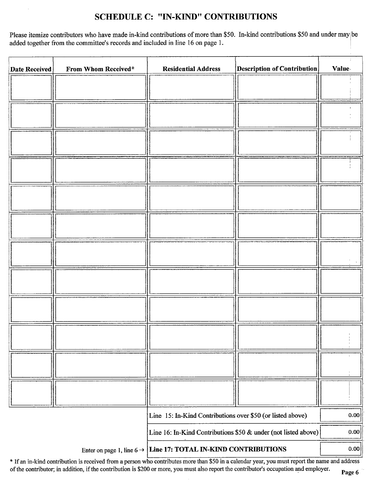# SCHEDULE C: " IN-KIND" CONTRIBUTIONS

Please itemize contributors who have made in-kind contributions of more than \$50. In-kind contributions \$50 and under may be added together from the committee's records and included in line 16 on page 1.

| <b>Date Received</b> | From Whom Received* | <b>Residential Address</b>                                                 | <b>Description of Contribution</b> | <b>Value</b> |
|----------------------|---------------------|----------------------------------------------------------------------------|------------------------------------|--------------|
|                      |                     |                                                                            |                                    |              |
|                      |                     |                                                                            |                                    |              |
|                      |                     |                                                                            |                                    |              |
|                      |                     |                                                                            |                                    |              |
|                      |                     |                                                                            |                                    |              |
|                      |                     |                                                                            |                                    |              |
|                      |                     |                                                                            |                                    |              |
|                      |                     |                                                                            |                                    |              |
|                      |                     |                                                                            |                                    |              |
|                      |                     |                                                                            |                                    |              |
|                      |                     |                                                                            |                                    |              |
|                      |                     |                                                                            |                                    |              |
|                      |                     |                                                                            |                                    |              |
|                      |                     |                                                                            |                                    |              |
|                      |                     |                                                                            |                                    |              |
|                      |                     |                                                                            |                                    |              |
|                      |                     |                                                                            |                                    |              |
|                      |                     |                                                                            |                                    |              |
|                      |                     |                                                                            |                                    |              |
|                      |                     |                                                                            |                                    |              |
|                      |                     |                                                                            |                                    |              |
|                      |                     |                                                                            |                                    |              |
|                      |                     | Line 15: In-Kind Contributions over \$50 (or listed above)                 |                                    | 0.00         |
|                      |                     | Line 16: In-Kind Contributions \$50 & under (not listed above)             |                                    | 0.00         |
|                      |                     | Enter on page 1, line $6 \rightarrow$ Line 17: TOTAL IN-KIND CONTRIBUTIONS |                                    | 0.00         |

\* If an in-kind contribution is received from a person who contributes more than \$50 in a calendar year, you must report the name and address of the contributor; in addition, if the contribution is \$200 or more, you must also report the contributor's occupation and employer. Page 6